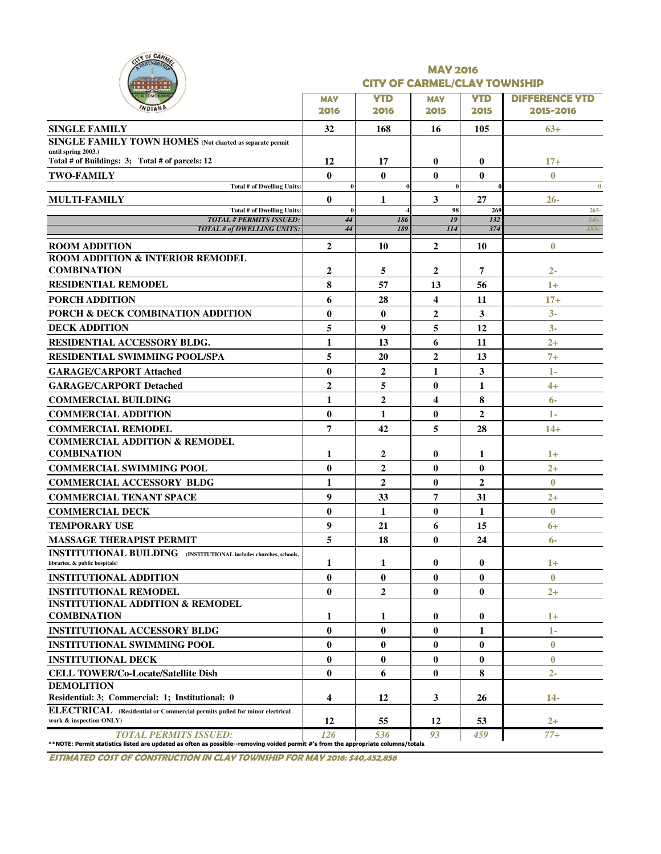| CITY OF CARM<br>RTNERSA                                                                                                                                     |                    |                     | <b>MAY 2016</b><br><b>CITY OF CARMEL/CLAY TOWNSHIP</b> |                    |                                    |
|-------------------------------------------------------------------------------------------------------------------------------------------------------------|--------------------|---------------------|--------------------------------------------------------|--------------------|------------------------------------|
|                                                                                                                                                             | <b>MAY</b><br>2016 | <b>YTD</b><br>2016  | <b>MAY</b><br>2015                                     | <b>YTD</b><br>2015 | <b>DIFFERENCE YTD</b><br>2015-2016 |
| <b>SINGLE FAMILY</b>                                                                                                                                        | 32                 | 168                 | 16                                                     | 105                | $63+$                              |
| SINGLE FAMILY TOWN HOMES (Not charted as separate permit                                                                                                    |                    |                     |                                                        |                    |                                    |
| until spring 2003.)<br>Total # of Buildings: 3; Total # of parcels: 12                                                                                      | 12                 | 17                  | 0                                                      | $\bf{0}$           | $17+$                              |
| <b>TWO-FAMILY</b>                                                                                                                                           | $\mathbf{0}$       | $\mathbf{0}$        | 0                                                      | $\bf{0}$           | $\mathbf{0}$                       |
| <b>Total # of Dwelling Units:</b>                                                                                                                           |                    |                     | $\bf{0}$                                               |                    | $\bf{0}$                           |
| <b>MULTI-FAMILY</b>                                                                                                                                         | $\mathbf{0}$       | 1                   | 3                                                      | 27                 | $26 -$                             |
| Total # of Dwelling Units:                                                                                                                                  | $\bf{0}$           |                     | 98                                                     | 269                | $265 -$                            |
| <b>TOTAL # PERMITS ISSUED:</b><br>TOTAL # of DWELLING UNITS:                                                                                                | 44<br>44           | 186<br>189          | 19<br>114                                              | 132<br>374         | $54+$<br>$185-$                    |
| <b>ROOM ADDITION</b>                                                                                                                                        | $\overline{2}$     | 10                  | $\mathbf{2}$                                           | 10                 | $\bf{0}$                           |
| ROOM ADDITION & INTERIOR REMODEL                                                                                                                            |                    |                     |                                                        |                    |                                    |
| <b>COMBINATION</b>                                                                                                                                          | 2                  | 5                   | 2                                                      | 7                  | $2-$                               |
| <b>RESIDENTIAL REMODEL</b>                                                                                                                                  | 8                  | 57                  | 13                                                     | 56                 | $1+$                               |
| <b>PORCH ADDITION</b>                                                                                                                                       | 6                  | 28                  | 4                                                      | 11                 | $17+$                              |
| PORCH & DECK COMBINATION ADDITION                                                                                                                           | $\bf{0}$           | $\bf{0}$            | $\overline{2}$                                         | 3                  | $3-$                               |
| <b>DECK ADDITION</b>                                                                                                                                        | 5                  | 9                   | 5                                                      | 12                 | $3-$                               |
| RESIDENTIAL ACCESSORY BLDG.                                                                                                                                 | 1                  | 13                  | 6                                                      | 11                 | $2+$                               |
| <b>RESIDENTIAL SWIMMING POOL/SPA</b>                                                                                                                        | 5                  | 20                  | $\overline{2}$                                         | 13                 | $7+$                               |
|                                                                                                                                                             |                    |                     |                                                        |                    |                                    |
| <b>GARAGE/CARPORT Attached</b>                                                                                                                              | $\bf{0}$           | $\overline{2}$      | 1                                                      | 3                  | 1-                                 |
| <b>GARAGE/CARPORT Detached</b>                                                                                                                              | $\overline{2}$     | 5                   | $\bf{0}$                                               | 1                  | $4+$                               |
| <b>COMMERCIAL BUILDING</b>                                                                                                                                  | 1                  | $\overline{2}$      | $\overline{\mathbf{4}}$                                | 8                  | $6-$                               |
| <b>COMMERCIAL ADDITION</b>                                                                                                                                  | $\bf{0}$           | $\mathbf{1}$        | $\bf{0}$                                               | $\mathbf{2}$       | $1 -$                              |
| <b>COMMERCIAL REMODEL</b>                                                                                                                                   | 7                  | 42                  | 5                                                      | 28                 | $14+$                              |
| <b>COMMERCIAL ADDITION &amp; REMODEL</b><br><b>COMBINATION</b>                                                                                              | 1                  |                     | $\bf{0}$                                               | 1                  | $1+$                               |
|                                                                                                                                                             | $\bf{0}$           | 2<br>$\overline{2}$ |                                                        |                    |                                    |
| <b>COMMERCIAL SWIMMING POOL</b><br><b>COMMERCIAL ACCESSORY BLDG</b>                                                                                         |                    | $\overline{2}$      | $\bf{0}$                                               | $\bf{0}$           | $2+$<br>$\mathbf{0}$               |
|                                                                                                                                                             | 1                  |                     | $\bf{0}$                                               | $\overline{2}$     |                                    |
| <b>COMMERCIAL TENANT SPACE</b>                                                                                                                              | 9                  | 33                  | 7                                                      | 31                 | $2+$                               |
| <b>COMMERCIAL DECK</b>                                                                                                                                      | $\bf{0}$           | 1                   | $\bf{0}$                                               | 1                  | $\mathbf{0}$                       |
| <b>TEMPORARY USE</b>                                                                                                                                        | 9                  | 21                  | 6                                                      | 15                 | 6+                                 |
| <b>MASSAGE THERAPIST PERMIT</b>                                                                                                                             | 5                  | 18                  | 0                                                      | 24                 | $6-$                               |
| <b>INSTITUTIONAL BUILDING</b> (INSTITUTIONAL includes churches, schools,<br>libraries, & public hospitals)                                                  | 1                  | 1                   | 0                                                      | 0                  | $1+$                               |
| <b>INSTITUTIONAL ADDITION</b>                                                                                                                               | $\bf{0}$           | $\bf{0}$            | $\bf{0}$                                               | $\bf{0}$           | $\bf{0}$                           |
| <b>INSTITUTIONAL REMODEL</b>                                                                                                                                | $\bf{0}$           | $\overline{2}$      | $\bf{0}$                                               | $\bf{0}$           | $^{2+}$                            |
| <b>INSTITUTIONAL ADDITION &amp; REMODEL</b>                                                                                                                 |                    |                     |                                                        |                    |                                    |
| <b>COMBINATION</b>                                                                                                                                          | 1                  | 1                   | $\bf{0}$                                               | $\bf{0}$           | $1+$                               |
| <b>INSTITUTIONAL ACCESSORY BLDG</b>                                                                                                                         | $\bf{0}$           | $\bf{0}$            | $\bf{0}$                                               | 1                  | 1-                                 |
| <b>INSTITUTIONAL SWIMMING POOL</b>                                                                                                                          | $\bf{0}$           | $\bf{0}$            | $\bf{0}$                                               | $\bf{0}$           | $\bf{0}$                           |
| <b>INSTITUTIONAL DECK</b>                                                                                                                                   | $\bf{0}$           | $\bf{0}$            | $\bf{0}$                                               | $\bf{0}$           | $\bf{0}$                           |
| <b>CELL TOWER/Co-Locate/Satellite Dish</b>                                                                                                                  | $\bf{0}$           | 6                   | 0                                                      | 8                  | $2 -$                              |
| <b>DEMOLITION</b>                                                                                                                                           |                    |                     |                                                        |                    |                                    |
| Residential: 3; Commercial: 1; Institutional: 0                                                                                                             | 4                  | 12                  | 3                                                      | 26                 | $14-$                              |
| ELECTRICAL (Residential or Commercial permits pulled for minor electrical<br>work & inspection ONLY)                                                        | 12                 | 55                  | 12                                                     | 53                 | $2+$                               |
| TOTAL PERMITS ISSUED:<br>**NOTE: Permit statistics listed are updated as often as possible--removing voided permit #'s from the appropriate columns/totals. | 126                | 536                 | 93                                                     | 459                | $77+$                              |

ESTIMATED COST OF CONSTRUCTION IN CLAY TOWNSHIP FOR MAY 2016: \$40,452,856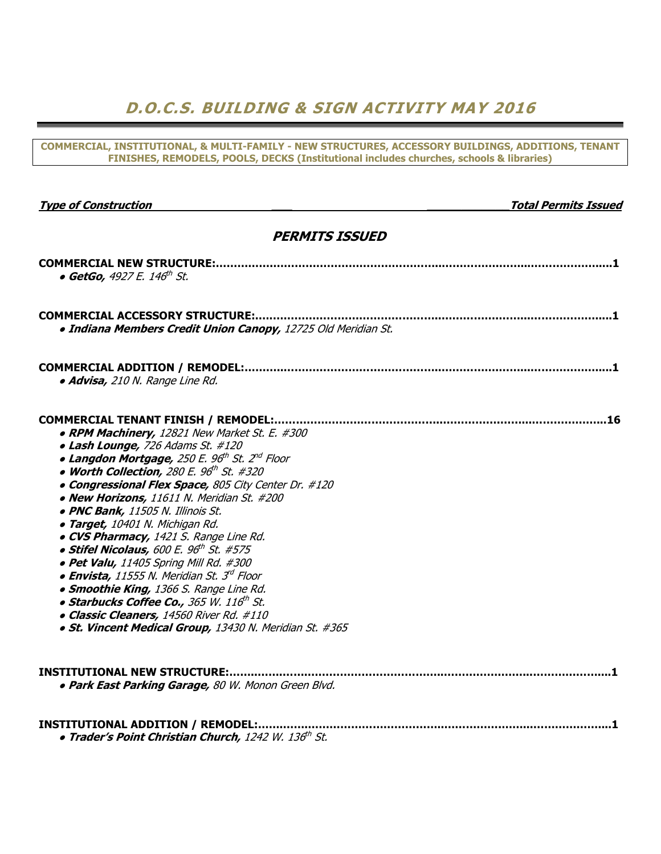### D.O.C.S. BUILDING & SIGN ACTIVITY MAY 2016

COMMERCIAL, INSTITUTIONAL, & MULTI-FAMILY - NEW STRUCTURES, ACCESSORY BUILDINGS, ADDITIONS, TENANT FINISHES, REMODELS, POOLS, DECKS (Institutional includes churches, schools & libraries)

Type of Construction and the construction of Construction and the construction of  $\alpha$  Total Permits Issued

| <b>PERMITS ISSUED</b>                                                                                                                                                                                                                                                                                                                                                                                                                                                                                                                                                                                                                                                                                                                                                                                                                               |
|-----------------------------------------------------------------------------------------------------------------------------------------------------------------------------------------------------------------------------------------------------------------------------------------------------------------------------------------------------------------------------------------------------------------------------------------------------------------------------------------------------------------------------------------------------------------------------------------------------------------------------------------------------------------------------------------------------------------------------------------------------------------------------------------------------------------------------------------------------|
| • GetGo, 4927 E. 146 <sup>th</sup> St.                                                                                                                                                                                                                                                                                                                                                                                                                                                                                                                                                                                                                                                                                                                                                                                                              |
| <b>COMMERCIAL ACCESSORY STRUCTURE:</b><br>· Indiana Members Credit Union Canopy, 12725 Old Meridian St.                                                                                                                                                                                                                                                                                                                                                                                                                                                                                                                                                                                                                                                                                                                                             |
| · Advisa, 210 N. Range Line Rd.                                                                                                                                                                                                                                                                                                                                                                                                                                                                                                                                                                                                                                                                                                                                                                                                                     |
| <b>COMMERCIAL TENANT FINISH / REMODEL:</b><br>• RPM Machinery, 12821 New Market St. E. #300<br>• Lash Lounge, 726 Adams St. #120<br>• Langdon Mortgage, 250 E. 96 <sup>th</sup> St. 2 <sup>nd</sup> Floor<br>• Worth Collection, 280 E. 96 <sup>th</sup> St. #320<br>. Congressional Flex Space, 805 City Center Dr. #120<br>• New Horizons, 11611 N. Meridian St. #200<br>· PNC Bank, 11505 N. Illinois St.<br>· Target, 10401 N. Michigan Rd.<br>• CVS Pharmacy, 1421 S. Range Line Rd.<br>• Stifel Nicolaus, 600 E. $96^{th}$ St. #575<br>· Pet Valu, 11405 Spring Mill Rd. #300<br>$\bullet$ Envista, 11555 N. Meridian St. 3 <sup>rd</sup> Floor<br>• Smoothie King, 1366 S. Range Line Rd.<br>• Starbucks Coffee Co., 365 W. 116th St.<br>· Classic Cleaners, 14560 River Rd. #110<br>· St. Vincent Medical Group, 13430 N. Meridian St. #365 |
| <b>INSTITUTIONAL NEW STRUCTURE:.</b><br>. Park East Parking Garage, 80 W. Monon Green Blvd.                                                                                                                                                                                                                                                                                                                                                                                                                                                                                                                                                                                                                                                                                                                                                         |
|                                                                                                                                                                                                                                                                                                                                                                                                                                                                                                                                                                                                                                                                                                                                                                                                                                                     |

• Trader's Point Christian Church, 1242 W. 136th St.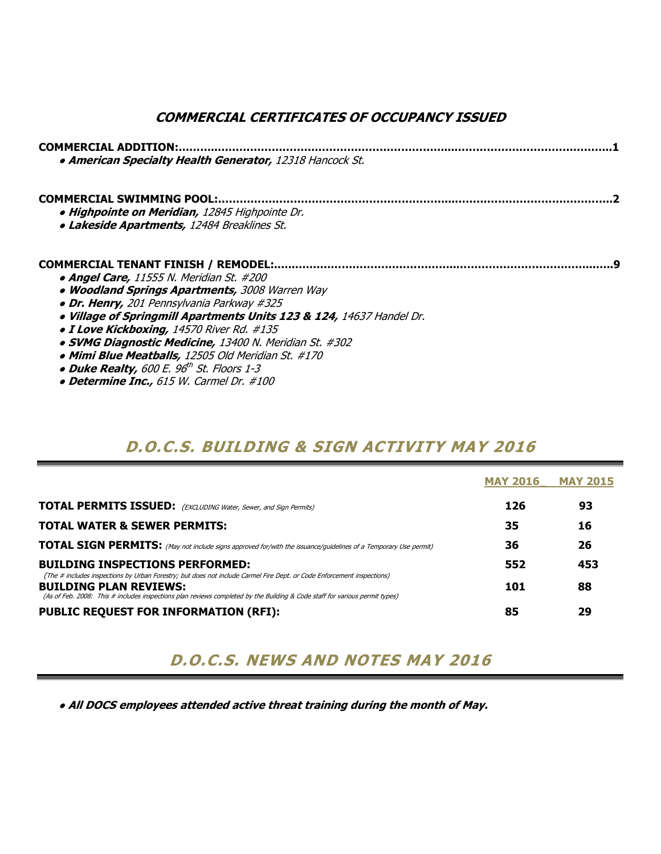### COMMERCIAL CERTIFICATES OF OCCUPANCY ISSUED

| <b>COMMERCIAL ADDITION:</b><br>• American Specialty Health Generator, 12318 Hancock St.                                           |
|-----------------------------------------------------------------------------------------------------------------------------------|
| <b>COMMERCIAL SWIMMING POOL:</b><br>· Highpointe on Meridian, 12845 Highpointe Dr.<br>• Lakeside Apartments, 12484 Breaklines St. |
| <b>COMMERCIAL TENANT FINISH / REMODEL:</b>                                                                                        |
| • Angel Care, 11555 N. Meridian St. #200                                                                                          |
| • Woodland Springs Apartments, 3008 Warren Way<br>• Dr. Henry, 201 Pennsylvania Parkway #325                                      |
| . Village of Springmill Apartments Units 123 & 124, 14637 Handel Dr.                                                              |
| • I Love Kickboxing, 14570 River Rd. #135                                                                                         |
| • SVMG Diagnostic Medicine, 13400 N. Meridian St. #302                                                                            |
| • Mimi Blue Meatballs, 12505 Old Meridian St. #170                                                                                |
| • Duke Realty, 600 E. 96 <sup>th</sup> St. Floors 1-3                                                                             |
| • Determine Inc., 615 W. Carmel Dr. #100                                                                                          |

### D.O.C.S. BUILDING & SIGN ACTIVITY MAY 2016

|                                                                                                                                                                                                                                                                                        | <b>MAY 2016</b> | <b>MAY 2015</b> |
|----------------------------------------------------------------------------------------------------------------------------------------------------------------------------------------------------------------------------------------------------------------------------------------|-----------------|-----------------|
| <b>TOTAL PERMITS ISSUED:</b> (EXCLUDING Water, Sewer, and Sign Permits)                                                                                                                                                                                                                | 126             | 93              |
| <b>TOTAL WATER &amp; SEWER PERMITS:</b>                                                                                                                                                                                                                                                | 35              | 16              |
| <b>TOTAL SIGN PERMITS:</b> (May not include signs approved for/with the issuance/guidelines of a Temporary Use permit)                                                                                                                                                                 | 36              | 26              |
| <b>BUILDING INSPECTIONS PERFORMED:</b>                                                                                                                                                                                                                                                 | 552             | 453             |
| (The # includes inspections by Urban Forestry; but does not include Carmel Fire Dept. or Code Enforcement inspections)<br><b>BUILDING PLAN REVIEWS:</b><br>(As of Feb. 2008: This # includes inspections plan reviews completed by the Building & Code staff for various permit types) | 101             | 88              |
| <b>PUBLIC REQUEST FOR INFORMATION (RFI):</b>                                                                                                                                                                                                                                           | 85              | 29              |

## D.O.C.S. NEWS AND NOTES MAY 2016

• All DOCS employees attended active threat training during the month of May.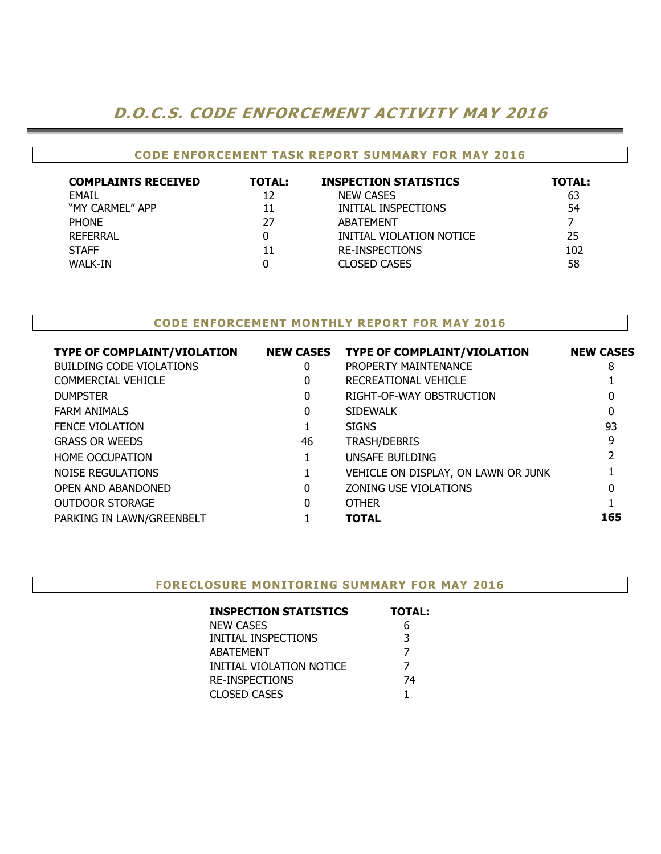### D.O.C.S. CODE ENFORCEMENT ACTIVITY MAY 2016

#### CODE ENFORCEMENT TASK REPORT SUMMARY FOR MAY 2016

| <b>COMPLAINTS RECEIVED</b> | <b>TOTAL:</b> | <b>INSPECTION STATISTICS</b> | <b>TOTAL:</b> |
|----------------------------|---------------|------------------------------|---------------|
| <b>EMAIL</b>               | 12            | <b>NEW CASES</b>             | 63            |
| "MY CARMEL" APP            | 11            | INITIAL INSPECTIONS          | 54            |
| <b>PHONE</b>               | 27            | ABATEMENT                    |               |
| <b>REFERRAL</b>            |               | INITIAL VIOLATION NOTICE     | 25            |
| <b>STAFF</b>               | 11            | <b>RE-INSPECTIONS</b>        | 102           |
| <b>WALK-IN</b>             |               | <b>CLOSED CASES</b>          | 58            |

#### CODE ENFORCEMENT MONTHLY REPORT FOR MAY 2016

| <b>TYPE OF COMPLAINT/VIOLATION</b> | <b>NEW CASES</b> | <b>TYPE OF COMPLAINT/VIOLATION</b>  | <b>NEW CASES</b> |
|------------------------------------|------------------|-------------------------------------|------------------|
| <b>BUILDING CODE VIOLATIONS</b>    | 0                | PROPERTY MAINTENANCE                | 8                |
| <b>COMMERCIAL VEHICLE</b>          | 0                | RECREATIONAL VEHICLE                |                  |
| <b>DUMPSTER</b>                    | 0                | RIGHT-OF-WAY OBSTRUCTION            | 0                |
| <b>FARM ANIMALS</b>                | 0                | <b>SIDEWALK</b>                     | 0                |
| <b>FENCE VIOLATION</b>             |                  | <b>SIGNS</b>                        | 93               |
| <b>GRASS OR WEEDS</b>              | 46               | <b>TRASH/DEBRIS</b>                 | 9                |
| <b>HOME OCCUPATION</b>             |                  | UNSAFE BUILDING                     |                  |
| NOISE REGULATIONS                  |                  | VEHICLE ON DISPLAY, ON LAWN OR JUNK |                  |
| OPEN AND ABANDONED                 | 0                | ZONING USE VIOLATIONS               | 0                |
| <b>OUTDOOR STORAGE</b>             | 0                | <b>OTHER</b>                        |                  |
| PARKING IN LAWN/GREENBELT          |                  | <b>TOTAL</b>                        | 165              |
|                                    |                  |                                     |                  |

| <b>FORECLOSURE MONITORING SUMMARY FOR MAY 2016</b> |  |  |  |
|----------------------------------------------------|--|--|--|
|                                                    |  |  |  |

| <b>INSPECTION STATISTICS</b> | <b>TOTAL:</b> |
|------------------------------|---------------|
| NEW CASES                    | 6             |
| INITIAL INSPECTIONS          | 3             |
| ABATEMENT                    | 7             |
| INITIAL VIOLATION NOTICE     | 7             |
| RE-INSPECTIONS               | 74            |
| CLOSED CASES                 |               |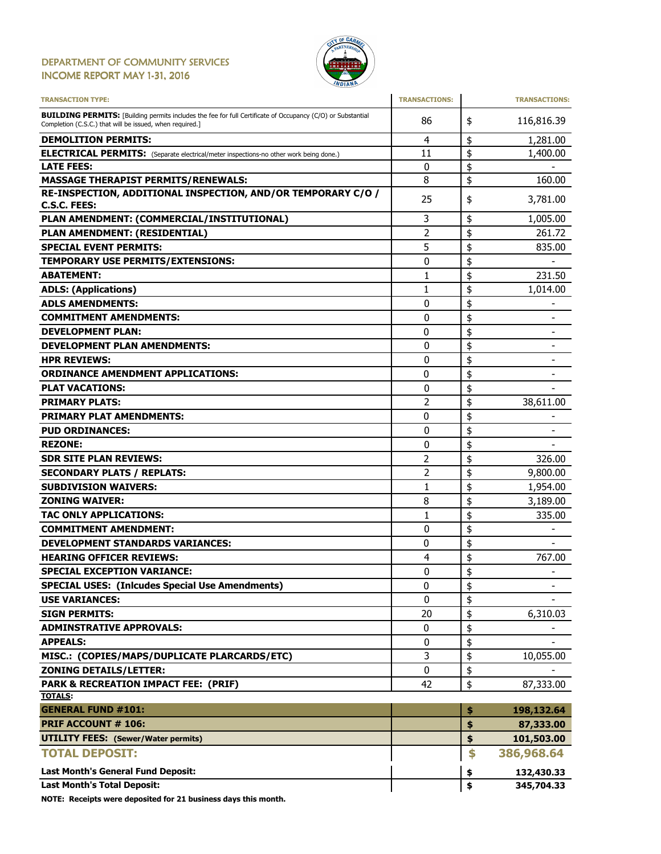#### DEPARTMENT OF COMMUNITY SERVICES INCOME REPORT MAY 1-31, 2016



| <b>TRANSACTION TYPE:</b>                                                                                                                                                       | <b>TRANSACTIONS:</b> |          | <b>TRANSACTIONS:</b>         |
|--------------------------------------------------------------------------------------------------------------------------------------------------------------------------------|----------------------|----------|------------------------------|
| <b>BUILDING PERMITS:</b> [Building permits includes the fee for full Certificate of Occupancy (C/O) or Substantial<br>Completion (C.S.C.) that will be issued, when required.] | 86                   | \$       | 116,816.39                   |
| <b>DEMOLITION PERMITS:</b>                                                                                                                                                     | 4                    | \$       | 1,281.00                     |
| <b>ELECTRICAL PERMITS:</b> (Separate electrical/meter inspections-no other work being done.)                                                                                   | 11                   | \$       | 1,400.00                     |
| <b>LATE FEES:</b>                                                                                                                                                              | 0                    | \$       |                              |
| <b>MASSAGE THERAPIST PERMITS/RENEWALS:</b>                                                                                                                                     | 8                    | \$       | 160.00                       |
| RE-INSPECTION, ADDITIONAL INSPECTION, AND/OR TEMPORARY C/O /                                                                                                                   | 25                   | \$       | 3,781.00                     |
| C.S.C. FEES:                                                                                                                                                                   |                      |          |                              |
| PLAN AMENDMENT: (COMMERCIAL/INSTITUTIONAL)                                                                                                                                     | 3                    | \$       | 1,005.00                     |
| PLAN AMENDMENT: (RESIDENTIAL)                                                                                                                                                  | $\overline{2}$       | \$       | 261.72                       |
| <b>SPECIAL EVENT PERMITS:</b>                                                                                                                                                  | 5                    | \$       | 835.00                       |
| TEMPORARY USE PERMITS/EXTENSIONS:                                                                                                                                              | 0                    | \$       |                              |
| <b>ABATEMENT:</b>                                                                                                                                                              | 1                    | \$       | 231.50                       |
| <b>ADLS: (Applications)</b>                                                                                                                                                    | 1                    | \$       | 1,014.00                     |
| <b>ADLS AMENDMENTS:</b>                                                                                                                                                        | 0                    | \$       |                              |
| <b>COMMITMENT AMENDMENTS:</b>                                                                                                                                                  | 0                    | \$       |                              |
| <b>DEVELOPMENT PLAN:</b>                                                                                                                                                       | 0                    | \$       |                              |
| <b>DEVELOPMENT PLAN AMENDMENTS:</b>                                                                                                                                            | 0                    | \$       | $\overline{\phantom{0}}$     |
| <b>HPR REVIEWS:</b>                                                                                                                                                            | 0                    | \$       |                              |
| <b>ORDINANCE AMENDMENT APPLICATIONS:</b>                                                                                                                                       | 0                    | \$       | $\qquad \qquad \blacksquare$ |
| <b>PLAT VACATIONS:</b>                                                                                                                                                         | 0                    | \$       |                              |
| <b>PRIMARY PLATS:</b>                                                                                                                                                          | $\overline{2}$       | \$       | 38,611.00                    |
| <b>PRIMARY PLAT AMENDMENTS:</b>                                                                                                                                                | 0                    | \$       |                              |
| <b>PUD ORDINANCES:</b>                                                                                                                                                         | 0                    | \$       |                              |
| <b>REZONE:</b>                                                                                                                                                                 | 0                    | \$       |                              |
| <b>SDR SITE PLAN REVIEWS:</b>                                                                                                                                                  | 2                    | \$       | 326.00                       |
| <b>SECONDARY PLATS / REPLATS:</b>                                                                                                                                              | 2                    | \$       | 9,800.00                     |
| <b>SUBDIVISION WAIVERS:</b>                                                                                                                                                    | $\mathbf{1}$         | \$       | 1,954.00                     |
| <b>ZONING WAIVER:</b>                                                                                                                                                          | 8                    | \$       | 3,189.00                     |
| <b>TAC ONLY APPLICATIONS:</b>                                                                                                                                                  | 1                    | \$       | 335.00                       |
| <b>COMMITMENT AMENDMENT:</b>                                                                                                                                                   | 0                    | \$       |                              |
| <b>DEVELOPMENT STANDARDS VARIANCES:</b>                                                                                                                                        |                      |          |                              |
|                                                                                                                                                                                | 0                    | \$       |                              |
| <b>HEARING OFFICER REVIEWS:</b>                                                                                                                                                | 4                    | \$<br>\$ | 767.00                       |
| <b>SPECIAL EXCEPTION VARIANCE:</b>                                                                                                                                             | 0                    |          | $\qquad \qquad \blacksquare$ |
| <b>SPECIAL USES: (Inlcudes Special Use Amendments)</b>                                                                                                                         | 0                    | \$       | -                            |
| <b>USE VARIANCES:</b>                                                                                                                                                          | 0                    | \$       |                              |
| <b>SIGN PERMITS:</b>                                                                                                                                                           | 20                   | \$       | 6,310.03                     |
| <b>ADMINSTRATIVE APPROVALS:</b>                                                                                                                                                | 0                    | \$       |                              |
| <b>APPEALS:</b>                                                                                                                                                                | 0                    | \$       |                              |
| MISC.: (COPIES/MAPS/DUPLICATE PLARCARDS/ETC)                                                                                                                                   | 3                    | \$       | 10,055.00                    |
| <b>ZONING DETAILS/LETTER:</b>                                                                                                                                                  | 0                    | \$       |                              |
| PARK & RECREATION IMPACT FEE: (PRIF)                                                                                                                                           | 42                   | \$       | 87,333.00                    |
| <b>TOTALS:</b>                                                                                                                                                                 |                      |          |                              |
| <b>GENERAL FUND #101:</b>                                                                                                                                                      |                      | \$       | 198,132.64                   |
| <b>PRIF ACCOUNT # 106:</b>                                                                                                                                                     |                      | \$       | 87,333.00                    |
| <b>UTILITY FEES: (Sewer/Water permits)</b>                                                                                                                                     |                      | \$       | 101,503.00                   |
| <b>TOTAL DEPOSIT:</b>                                                                                                                                                          |                      | \$       | 386,968.64                   |
| <b>Last Month's General Fund Deposit:</b>                                                                                                                                      |                      | \$       | 132,430.33                   |
| <b>Last Month's Total Deposit:</b>                                                                                                                                             |                      | \$       | 345,704.33                   |

NOTE: Receipts were deposited for 21 business days this month.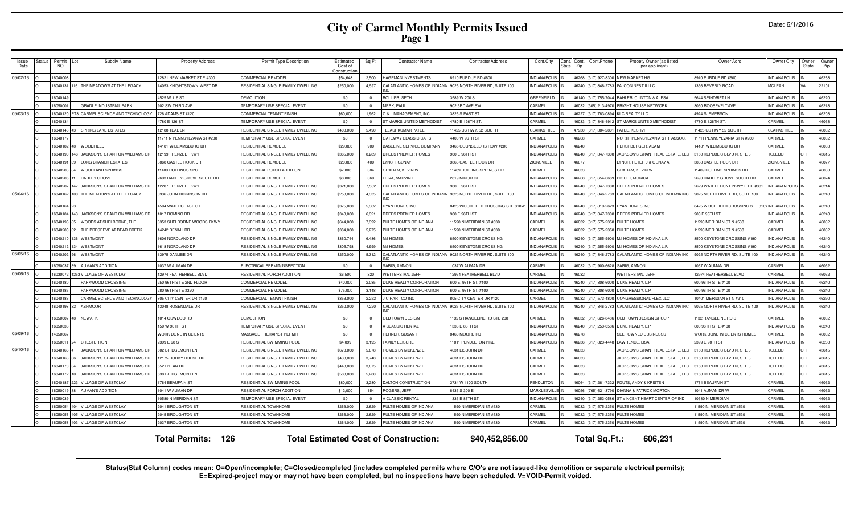| Date: 6/1/2016 |  |
|----------------|--|
|----------------|--|

| Issue<br>Date | Status | Permit<br>NO. | Subdiv Name                           | <b>Property Address</b>      | Permit Type Description                   | Estimated<br>Cost of<br>Constructio | Sa Ft          | <b>Contractor Name</b>                       | <b>Contractor Address</b>        | Cont.City           | Cont.<br>Cont<br>State<br>Zip | Cont.Phone    | Propety Owner (as listed<br>per applicant)     | Owner Adrs                               | Owner City           | Owner<br><b>State</b> | Owner<br>Zip |
|---------------|--------|---------------|---------------------------------------|------------------------------|-------------------------------------------|-------------------------------------|----------------|----------------------------------------------|----------------------------------|---------------------|-------------------------------|---------------|------------------------------------------------|------------------------------------------|----------------------|-----------------------|--------------|
| 05/02/16      |        | 6040008       |                                       | 12821 NEW MARKET ST E #300   | COMMERCIAL REMODEL                        | \$54,648                            | 2.500          | <b>IAGEMAN INVESTMENTS</b>                   | 8910 PURDUE RD #600              | <b>INDIANAPOLIS</b> | 46268                         |               | 317) 927-8300 NEW MARKET HG                    | 8910 PURDUE RD #600                      | <b>INDIANAPOLIS</b>  |                       | 46268        |
|               |        | 6040131       | THE MEADOWS AT THE LEGACY             | 4053 KNIGHTSTOWN WEST DR     | RESIDENTIAL SINGLE FAMILY DWELLING        | \$250,000                           | 4,597          | CALATLANTIC HOMES OF INDIANA                 | 9025 NORTH RIVER RD, SUITE 100   | <b>INDIANAPOLIS</b> | 46240                         | 317) 846-2783 | FALCON NEST II LLC                             | 1356 BEVERLY ROAD                        | <b>MCLEAN</b>        |                       | 22101        |
|               |        | 6040149       |                                       | 525 W 116 ST                 | DEMOLITION                                | \$0                                 | $\Omega$       | <b>BOLLIER, SETH</b>                         | 3589 W 200 S                     | GREENFIELD          | 46140                         | 317) 755-7044 | BAHLER, CLINTON & ALESA                        | 5644 SPINDRIFT LN                        | <b>NDIANAPOLIS</b>   |                       | 46220        |
|               |        | 6050001       | GRADLE INDUSTRIAL PARK                | 02 SW THIRD AVE              | <b><i>TEMPORARY USE SPECIAL EVENT</i></b> | \$0                                 | $\Omega$       | <b>JERK, PAUL</b>                            | 902 3RD AVE SW                   | CARMEL              | 46032                         | 305) 213-4970 | <b>BRIGHT HOUSE NETWORK</b>                    | 3030 ROOSEVELT AVE                       | <b>NDIANAPOLIS</b>   |                       | 46218        |
| 05/03/16      |        | 6040120 PT    | CARMEL SCIENCE AND TECHNOLOGY         | 726 ADAMS ST #120            | COMMERCIAL TENANT FINISH                  | \$60,000                            | 1,962          | <b>&amp; L MANAGEMENT, INC</b>               | <b>8825 S EAST ST</b>            | <b>INDIANAPOLIS</b> | 46227                         | 317) 783-0894 | <b>KLC REALTY LLC</b>                          | 4924 S. EMERSON                          | <b>INDIANAPOLIS</b>  |                       | 46203        |
|               |        | 6040134       |                                       | 4780 E 126 ST                | TEMPORARY USE SPECIAL EVENT               | \$0                                 | $\overline{0}$ | <b>ST MARKS UNITED METHODIST</b>             | 4780 E 126TH ST.                 | CARMEL              | 46033                         | 317) 846-4912 | ST MARKS UNITED METHODIST                      | 4780 E 126TH ST.                         | CARMEL               |                       | 46033        |
|               |        | 6040146 43    | SPRING LAKE ESTATES                   | 12188 TEAL LN                | RESIDENTIAL SINGLE FAMILY DWELLING        | \$400,000                           | 5,490          | <b>FEJASHKUMAR PATEL</b>                     | 11425 US HWY. 52 SOUTH           | <b>CLARKS HILL</b>  | 47930                         | 317) 384-2801 | PATEL, KESHVI                                  | 11425 US HWY 52 SOUTH                    | <b>CLARKS HILL</b>   |                       | 46032        |
|               |        | 6040177       |                                       | 11711 N PENNSYLVANIA ST #200 | TEMPORARY USE SPECIAL EVENT               | \$0                                 | $\overline{0}$ | GATEWAY CLASSIC CARS                         | 4400 W 96TH ST                   | CARMEL              | 46268<br>ΙN                   |               | NORTH PENNSYLVANIA STR. ASSOC.                 | 11711 PENNSYLVANIA ST N #200             | CARMEL               |                       | 46032        |
|               |        | 6040182 48    | WOODFIELD                             | 4181 WILLIAMSBURG DR         | RESIDENTIAL REMODEL                       | \$29,000                            | 900            | <b>BASELINE SERVICE COMPANY</b>              | 9465 COUNSELORS ROW #200         | <b>INDIANAPOLIS</b> | 46240                         |               | <b>HERSHBERGER, ADAM</b>                       | 14181 WILLIMSBURG DR                     | CARMEL               |                       | 46033        |
|               |        | 6040190       | <b>JACKSON'S GRANT ON WILLIAMS CR</b> | 2199 FRENZEL PKWY            | RESIDENTIAL SINGLE FAMILY DWELLING        | \$365,000                           | 8.289          | OREES PREMIER HOMES                          | 900 E 96TH ST                    | <b>INDIANAPOLIS</b> | 46240                         |               | 317) 347-7300 JACKSON'S GRANT REAL ESTATE, LLC | 3150 REPUBLIC BLVD N. STE 3              | <b>TOLEDO</b>        | OH                    | 43615        |
|               |        | 6040191       | LONG BRANCH ESTATES                   | 868 CASTLE ROCK DR           | RESIDENTIAL REMODEL                       | \$20,000                            | 400            | YNCH, GUNAY                                  | <b>3868 CASTLE ROCK DR</b>       | ZIONSVILLE          | 4607                          |               | YNCH, PETER J & GUNAY A                        | 3868 CASTLE ROCK DR                      | ZIONSVILLE           |                       | 46077        |
|               |        | 6040203       | WOODLAND SPRINGS                      | 1409 ROLLINGS SPG            | RESIDENTIAI PORCH ADDITION                | \$7,000                             | 384            | <b>GRAHAM, KEVIN W</b>                       | 1409 ROLLING SPRINGS DF          | CARMEL              | 46033                         |               | <b>GRAHAM, KEVIN W</b>                         | 1409 ROLLING SPRINGS DR                  | CARMEL               |                       | 46033        |
|               |        | 6040205       | <b>HADLEY GROVE</b>                   | 2693 HADLEY GROVE SOUTH DF   | RESIDENTIAL REMODEI                       | \$8,000                             | 360            | EIVA, MARVIN E                               | 2819 MINOR CT                    | <b>INDIANAPOLIS</b> | 46268                         | 317) 654-6669 | PIGUET, MONICA E                               | 2693 HADLEY GROVE SOUTH DR               | CARMEL               |                       | 46074        |
|               |        | 6040207       | JACKSON'S GRANT ON WILLIAMS CR        | 12207 FRENZEL PKWY           | RESIDENTIAL SINGLE FAMILY DWELLING        | \$321,000                           | 7,502          | DREES PREMIER HOMES                          | 900 E 96TH ST                    | <b>INDIANAPOLIS</b> | 46240                         | 317) 347-7300 | DREES PREMIER HOMES                            | 2629 WATERFRONT PKWY E DR #301           | <b>INDIANANPOLIS</b> |                       | 46214        |
| 05/04/16      |        | 6040162 100   | THE MEADOWS AT THE LEGACY             | <b>936 JOHN DICKINSON DR</b> | RESIDENTIAL SINGLE FAMILY DWELLING        | \$250,000                           | 4,335          | CALATLANTIC HOMES OF INDIANA                 | 9025 NORTH RIVER RD, SUITE 100   | <b>INDIANAPOLIS</b> | 46240                         | 317) 846-2783 | CALATLANTIC HOMES OF INDIANA INC               | 3025 NORTH RIVER RD. SUITE 100           | NDIANAPOLIS          |                       | 46240        |
|               |        | 6040164 23    |                                       | <b>4504 WATERCHASE CT</b>    | RESIDENTIAL SINGLE FAMILY DWELLING        | \$375,000                           | 5,362          | RYAN HOMES INC                               | 8425 WOODFIELD CROSSING STE 310W | <b>INDIANAPOLIS</b> | 46240                         |               | 317) 819-2623 RYAN HOMES INC                   | 8425 WOODFIELD CROSSING STE 31           | <b>INDIANAPOLIS</b>  |                       | 46240        |
|               |        | 6040184 143   | <b>JACKSON'S GRANT ON WILLIAMS CR</b> | 017 DOMINO DR                | RESIDENTIAL SINGLE FAMILY DWELLING        | \$343,000                           | 6.321          | DREES PREMIER HOMES                          | 900 E 96TH ST                    | <b>INDIANAPOLIS</b> | 46240                         | 317) 347-7300 | DREES PREMIER HOMES                            | 900 E 96TH ST                            | <b>INDIANAPOLIS</b>  |                       | 46240        |
|               |        | 6040196 85    | <b>NOODS AT SHELBORNE. THE</b>        | 3353 SHELBORNE WOODS PKWY    | RESIDENTIAL SINGLE FAMILY DWELLING        | \$644,000                           | 7,392          | PULTE HOMES OF INDIANA                       | 1590 N MERIDIAN ST #530          | CARMEL              | 46032                         | 317) 575-2350 | <b>PULTE HOMES</b>                             | 11590 MERIDIAN ST N #530                 | CARMEL               |                       | 46032        |
|               |        | 6040200 32    | THE PRESERVE AT BEAR CREEK            | 14242 DENALI DR              | RESIDENTIAL SINGLE FAMILY DWELLING        | \$364,000                           | 5,275          | PULTE HOMES OF INDIANA                       | 1590 N MERIDIAN ST #530          | CARMEL              | 46032                         | 317) 575-2350 | PULTE HOMES                                    | 1590 MERIDIAN ST N #530                  | CARMEL               |                       | 46032        |
|               |        | 6040210       | WESTMONT                              | 1606 NORDI AND DE            | RESIDENTIAL SINGLE FAMILY DWELLING        | \$360,744                           | 6.486          | <b>M/I HOMES</b>                             | 8500 KEYSTONE CROSSING           | <b>INDIANAPOLIS</b> | 46240                         | 317) 255-9900 | M/I HOMES OF INDIANA L.P.                      | 3500 KEYSTONE CROSSING #190              | <b>INDIANAPOLIS</b>  |                       | 46240        |
|               |        | 6040212       | <b>WESTMONT</b>                       | 1618 NORDLAND DR             | RESIDENTIAL SINGLE FAMILY DWELLING        | \$305,798                           | 4.999          | <b>M/I HOMES</b>                             | 3500 KEYSTONE CROSSING           | INDIANAPOLIS        | 46240                         | 317) 255-9900 | M/I HOMES OF INDIANA L.P.                      | 3500 KEYSTONE CROSSING #190              | <b>INDIANAPOLIS</b>  |                       | 46240        |
| 05/05/16      |        | 6040202       | <b>WESTMONT</b>                       | 13975 DANUBE DR              | RESIDENTIAL SINGLE FAMILY DWELLING        | \$250,000                           | 5,312          | CALATLANTIC HOMES OF INDIANA                 | 9025 NORTH RIVER RD, SUITE 100   | <b>INDIANAPOLIS</b> | 46240                         | 317) 846-2783 | CALATLANTIC HOMES OF INDIANA INC               | 9025 NORTH RIVER RD. SUITE 100           | <b>NDIANAPOLIS</b>   |                       | 46240        |
|               |        | 6050037       | <b>NUMAN'S ADDITION</b>               | 037 W ALIMAN DE              | ELECTRICAL PERMIT/INSPECTION              | \$0                                 | $\overline{0}$ | <b>SARIG, AMNON</b>                          | 037 W AUMAN DR                   | CARMEL              | 46032                         | 317) 900-6628 | SARIG, AMNON                                   | 1037 W AUMAN DR                          | CARMEL               |                       | 46032        |
| 05/06/16      |        | 6030072       | <b>/ILLAGE OF WESTCLAY</b>            | 12974 FEATHERBELL BLVD       | RESIDENTIAL PORCH ADDITION                | \$6,500                             | 320            | <b>VETTERSTAN, JEFF</b>                      | 2974 FEATHERBELL BLVD            | CARMEI              | 46032                         |               | <b>WETTERSTAN.JEFF</b>                         | 12974 FEATHERBELL BLVD                   | CARMEI               |                       | 46032        |
|               |        | 6040180       | PARKWOOD CROSSING                     | 250 96TH ST E 2ND FLOOR      | COMMERCIAL REMODEL                        | \$40,000                            | 2,085          | OUKE REALTY CORPORATION                      | 600 E. 96TH ST. #100             | <b>INDIANAPOLIS</b> | 46240                         |               | 117) 808-6000 DUKE REALTY, L.P.                | 600 96TH ST E #100                       | <b>INDIANAPOLIS</b>  |                       | 46240        |
|               |        | 6040185       | PARKWOOD CROSSING                     | 280 96TH ST E #320           | COMMERCIAL REMODEL                        | \$75,000                            | 3,148          | DUKE REALTY CORPORATION                      | 600 E. 96TH ST. #100             | <b>INDIANAPOLIS</b> | 46240                         |               | 317) 808-6000 DUKE REALTY, L.P.                | 600 96TH ST E #100                       | <b>INDIANAPOLIS</b>  |                       | 46240        |
|               |        | 6040186       | CARMEL SCIENCE AND TECHNOLOGY         | 305 CITY CENTER DR #120      | COMMERCIAL TENANT FINISH                  | \$353,000                           | 2.252          | C HART CO INC                                | 805 CITY CENTER DR #120          | CARMEL              | 46032                         | 317) 573-4800 | CONGRESSIONAL FLEX LLC                         | 10401 MERIDIAN ST N #210                 | <b>INDIANAPOLIS</b>  |                       | 46290        |
|               |        | 6040198       | <b>ASHMOOR</b>                        | 13048 ROSENDALE DR           | RESIDENTIAL SINGLE FAMILY DWELLING        | \$250,000                           | 7,220          | CALATLANTIC HOMES OF INDIANA                 | 9025 NORTH RIVER RD, SUITE 100   | <b>INDIANAPOLIS</b> | 46240                         | 317) 846-2783 | CALATLANTIC HOMES OF INDIANA INC               | 9025 NORTH RIVER RD, SUITE 100           | <b>NDIANAPOLIS</b>   |                       | 46240        |
|               |        | 6050007       | <b>NEWARK</b>                         | 014 OSWEGO RD                | <b>DEMOLITION</b>                         | \$0                                 | $\Omega$       | OLD TOWN DESIGN                              | 132 S RANGELINE RD STE 200       | CARMEL              | 46032                         | 317) 626-848  | OLD TOWN DESIGN GROUP                          | 132 RANGELINE RD 9                       | CARMEL               |                       | 46032        |
|               |        | 6050038       |                                       | 50 W 96TH ST                 | <b><i>TEMPORARY USE SPECIAL EVENT</i></b> | \$0                                 | $\Omega$       | <b>CLASSIC RENTAL</b>                        | 1333 E 86TH ST                   | <b>NDIANAPOLIS</b>  | 46240                         | 317) 253-0586 | DUKE REALTY, L.P.                              | 600 96TH ST E #100                       | <b>NDIANAPOLIS</b>   |                       | 46240        |
| 05/09/16      |        | 4050067       |                                       | <b>VORK DONE IN CLIENTS</b>  | MASSAGE THERAPIST PERMIT                  | \$0                                 | $\Omega$       | <b>IERNER, SUSAN F</b>                       | 3460 MOORE RD                    | <b>NDIANAPOLIS</b>  | 46278                         |               | SELF OWNED BUSINESSS                           | <b><i>NORK DONE IN CLIENTS HOMES</i></b> | <b>ARMEL</b>         |                       | 46032        |
|               |        | 6050011 24    | CHESTERTON                            | 2399 E 98 ST                 | RESIDENTIAL SWIMMING POOI                 | \$4,099                             | 3,195          | AMILY LEISURE                                | 1811 PENDLETON PIKE              | <b>INDIANAPOLIS</b> | 46236                         |               | 317) 823-4448 LAWRENCE, LISA                   | 2399 E 98TH ST                           | <b>NDIANAPOLIS</b>   |                       | 46280        |
| 05/10/16      |        | 6040166 4     | ACKSON'S GRANT ON WILLIAMS CR         | 502 BRIDGEMONT LN            | RESIDENTIAL SINGLE FAMILY DWELLING        | \$670,000                           | 5.878          | HOMES BY MCKENZIE                            | 4631 LISBORN DR                  | CARMEL              | 46033                         |               | JACKSON'S GRANT REAL ESTATE. LLC               | 3150 REPUBLIC BLVD N. STE 3              | <b>TOLEDO</b>        |                       | 43615        |
|               |        | 6040168 36    | ACKSON'S GRANT ON WILLIAMS CR         | 2175 HOBBY HORSE DF          | RESIDENTIAL SINGLE FAMILY DWELLING        | \$430,000                           | 3,748          | HOMES BY MCKENZIE                            | 4631 LISBORN DR                  | CARMEL              | 46033                         |               | JACKSON'S GRANT REAL ESTATE, LLC               | 3150 REPUBLIC BLVD N, STE 3              | TOLEDO               | OH                    | 43615        |
|               |        | 6040170 34    | ACKSON'S GRANT ON WILLIAMS CR         | 552 DYLAN DR                 | RESIDENTIAL SINGLE FAMILY DWELLING        | \$440,000                           | 3,875          | HOMES BY MCKENZIE                            | 4631 LISBORN DR                  | CARMEL              | 46033<br>ΙN                   |               | JACKSON'S GRANT REAL ESTATE, LLC               | 3150 REPUBLIC BLVD N, STE 3              | <b>TOLEDO</b>        | OH                    | 43615        |
|               |        | 6040172 10    | <b>IACKSON'S GRANT ON WILLIAMS CR</b> | 38 BRIDGEMONT LN             | RESIDENTIAL SINGLE FAMILY DWELLING        | \$580,000                           | 5,280          | <b>HOMES BY MCKENZIE</b>                     | 4631 LISBORN DR                  | CARMEL              | 46033                         |               | JACKSON'S GRANT REAL ESTATE, LLC               | 3150 REPUBLIC BLVD N, STE 3              | <b>TOLEDO</b>        | OH                    | 43615        |
|               |        | 6040187 22    | <b>ILLAGE OF WESTCLAY</b>             | 764 BEAUFAIN ST              | RESIDENTIAL SWIMMING POOI                 | \$80,000                            | 3.280          | <b>DALTON CONSTRUCTION</b>                   | 3734 W 1100 SOUTH                | PENDLETON           | 46064                         | 317) 281-7322 | FOUTS, ANDY & KRISTEN                          | 1764 BEAUFAIN ST                         | CARMEL               |                       | 46032        |
|               |        | 6050019 38    | <b>AUMAN'S ADDITION</b>               | 1041 W AUMAN DR              | RESIDENTIAL PORCH ADDITION                | \$12,000                            | 154            | ROGERS, JEFF                                 | 8433 S 300 E                     | MARKLESVILLI        | 46056                         |               | 765) 621-3790 DIANNA & PATRICK MORTON          | 1041 AUMAN DR W                          | CARMEL               |                       | 46032        |
|               |        | 6050039       |                                       | 0580 N MERIDIAN ST           | TEMPORARY USE SPECIAL EVENT               | \$0                                 | $\sqrt{ }$     | CLASSIC RENTAL                               | 1333 E 86TH ST                   | INDIANAPOLIS        | 46240                         | 317) 253-0586 | ST VINCENT HEART CENTER OF IND                 | 10580 N MERIDIAN                         | CARMEL               |                       | 46032        |
|               |        | 6050054       | VILLAGE OF WESTCLAY                   | 2041 BROUGHTON ST            | RESIDENTIAL TOWNHOME                      | \$263,000                           | 2,629          | PULTE HOMES OF INDIANA                       | 1590 N MERIDIAN ST #530          | CARMEL              | 46032                         | 317) 575-2350 | PULTE HOMES                                    | 1590 N. MERIDIAN ST #530                 | CARMEL               |                       | 46032        |
|               |        | 6050056       | VILLAGE OF WESTCLAY                   | 2045 BROUGHTON ST            | RESIDENTIAL TOWNHOME                      | \$266,000                           | 2,629          | PULTE HOMES OF INDIANA                       | 1590 N MERIDIAN ST #530          | CARMEL              | 46032                         |               | 317) 575-2350 PULTE HOMES                      | 11590 N. MERIDIAN ST #530                | CARMEL               |                       | 46032        |
|               |        | 6050058       | VILLAGE OF WESTCLAY                   | 2037 BROUGHTON ST            | <b>RESIDENTIAL TOWNHOME</b>               | \$264,000                           | 2,629          | PULTE HOMES OF INDIANA                       | 11590 N MERIDIAN ST #530         | CARMEL              | 46032                         |               | 317) 575-2350 PULTE HOMES                      | 11590 N. MERIDIAN ST #530                | CARMEL               |                       | 46032        |
|               |        |               |                                       | 126<br><b>Total Permits:</b> |                                           |                                     |                | <b>Total Estimated Cost of Construction:</b> | \$40,452,856.00                  |                     |                               | Total Sq.Ft.: | 606,231                                        |                                          |                      |                       |              |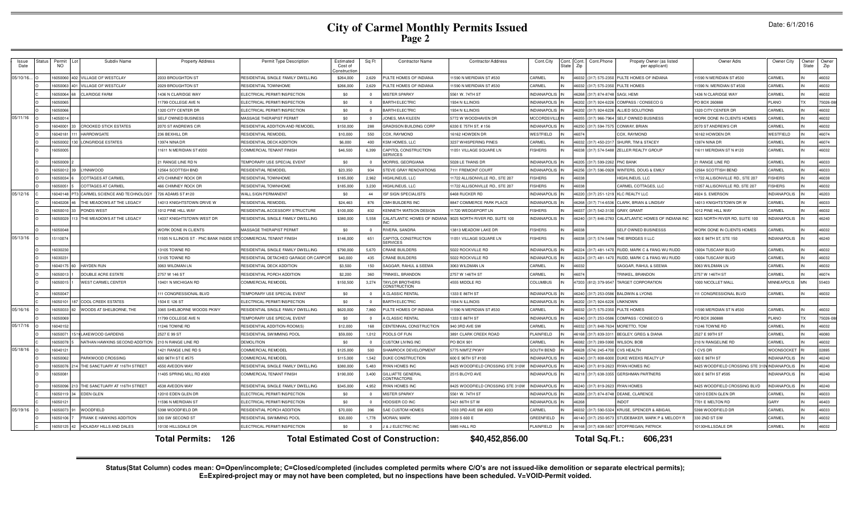|  |  | Date: 6/1/2016 |  |
|--|--|----------------|--|
|--|--|----------------|--|

| Issue<br>Date | itatus | Permit<br>NO. | Subdiv Name                      | <b>Property Address</b>                                          | Permit Type Description               | Estimated<br>Cost of<br>onstructio | Sq Ft                   | <b>Contractor Name</b>                        | <b>Contractor Address</b>        | Cont.City           | Cont. | Cont.Phone<br>Zip       | Propety Owner (as listed<br>per applicant) | Owner Adrs                      | Owner City          | Owner<br><b>State</b> | Owner<br>Zip |
|---------------|--------|---------------|----------------------------------|------------------------------------------------------------------|---------------------------------------|------------------------------------|-------------------------|-----------------------------------------------|----------------------------------|---------------------|-------|-------------------------|--------------------------------------------|---------------------------------|---------------------|-----------------------|--------------|
| 05/10/16      |        | 6050060       | 402 VILLAGE OF WESTCLAY          | 2033 BROUGHTON ST                                                | RESIDENTIAL SINGLE FAMILY DWELLING    | \$264,000                          | 2,629                   | PULTE HOMES OF INDIANA                        | 11590 N MERIDIAN ST #530         | CARMEL              |       | 46032 (317) 575-2350    | PULTE HOMES OF INDIANA                     | 11590 N MERIDIAN ST #530        | CARMEL              |                       | 46032        |
|               |        | 16050063      | VILLAGE OF WESTCLAY              | 2029 BROUGHTON ST                                                | RESIDENTIAL TOWNHOME                  | \$266,000                          | 2,629                   | PULTE HOMES OF INDIANA                        | 11590 N MERIDIAN ST #530         | CARMEL              |       | 16032<br>(317) 575-2350 | PULTE HOMES                                | 11590 N. MERIDIAN ST #530       | CARMEL              |                       | 46032        |
|               |        | 16050064      | <b>CLARIDGE FARM</b>             | 436 N CLARIDGE WAY                                               | ELECTRICAL PERMIT/INSPECTION          | \$0                                | $\Omega$                | <b>MISTER SPARKY</b>                          | 5561 W. 74TH ST                  | <b>INDIANAPOLIS</b> |       | 6268<br>(317) 874-8748  | SAGI, HEMI                                 | 1436 N CLARIDGE WAY             | <b>ARMEL</b>        |                       | 46032        |
|               |        | 1605006       |                                  | 1799 COLLEGE AVE N                                               | ELECTRICAL PERMIT/INSPECTION          | \$0                                | $\Omega$                | <b>BARTH ELECTRIC</b>                         | 1934 N ILLINOIS                  | <b>INDIANAPOLIS</b> |       | 16202<br>(317) 924-622  | COMPASS / CONSECO G                        | PO BOX 260888                   | <b>LANO</b>         |                       | 75026-0      |
|               |        | 6050066       |                                  | 320 CITY CENTER DR                                               | ELECTRICAL PERMIT/INSPECTION          | \$0                                | $\Omega$                | BARTH ELECTRIC                                | 1934 N ILLINOIS                  | NDIANAPOLIS         |       | 6202<br>(317) 924-622   | ALLIED SOLUTIONS                           | 1320 CITY CENTER DR             | ARMEI               |                       | 46032        |
| 05/11/16      |        | 1405001       |                                  | SELF OWNED BUSINESS                                              | MASSAGE THERAPIST PERMIT              | \$0                                | $\Omega$                | JONES, MIA KILEEN                             | 5772 W WOODHAVEN DF              | <b>MCCORDSVIL</b>   |       | 16055<br>317) 966-796   | SELF OWNED BUSINESS                        | WORK DONE IN CLIENTS HOMES      | CARMEL              |                       | 46032        |
|               |        | 6040001       | <b>CROOKED STICK ESTATES</b>     | 2070 ST ANDREWS CIR                                              | RESIDENTIAL ADDITION AND REMODEI      | \$150,000                          | 288                     | <b>GRADISON BUILDING CORP</b>                 | 6330 E 75TH ST, #156             | NDIANAPOLI:         |       | 6250<br>317) 594-757    | CONWAY, BRIAN                              | 2070 ST ANDREWS CIR             | <b>ARMEI</b>        |                       | 46032        |
|               |        | 1604018       | <b>HARROWGATE</b>                | 236 BEXHILL DR                                                   | RESIDENTIAL REMODEI                   | \$10,000                           | 550                     | COX. RAYMOND                                  | 16162 HOWDEN DR                  | WESTFIELD           |       | 6074                    | COX, RAYMOND                               | 16162 HOWDEN DR                 | WESTFIELD           |                       | 46074        |
|               |        | 605000        | <b>LONGRIDGE ESTATES</b>         | 3974 NINA DF                                                     | RESIDENTIAL DECK ADDITION             | \$6,000                            | 400                     | KSM HOMES, LLC                                | 3237 WHISPERING PINES            | <b>ARMF</b>         |       | 6032<br>317) 450-231    | SHURR, TIM & STACEY                        | 13974 NINA DR                   | <b>ARME</b>         |                       | 46074        |
|               |        | 605000        |                                  | 11611 N MERIDIAN ST #200                                         | <b>COMMERCIAL TENANT FINISH</b>       | \$46,500                           | 6,399                   | CAPITOL CONSTRUCTION<br><b>ERVICES</b>        | 11051 VILLAGE SQUARE LN          | <b>FISHERS</b>      |       | 6038<br>(317) 574-548   | ZELLER REALTY GROUP                        | 11611 MERIDIAN ST N #120        | <b>ARMEL</b>        |                       | 46032        |
|               |        | 16050009      |                                  | 21 RANGE LINE RD N                                               | TEMPORARY USE SPECIAL EVENT           | \$0                                | $\overline{\mathbf{0}}$ | MORRIS, GEORGIANA                             | 5028 LE THANS DR                 | <b>INDIANAPOLIS</b> |       | 46205 (317) 599-226     | <b>PNC BANK</b>                            | 21 RANGE LINE RD                | CARMEL              |                       | 46033        |
|               |        | 16050012      | <b>LYNNWOOD</b>                  | <b>2564 SCOTTISH BND</b>                                         | RESIDENTIAL REMODEL                   | \$23,350                           | 934                     | <b>STEVE GRAY RENOVATIONS</b>                 | 7111 FREMONT COURT               | <b>INDIANAPOLIS</b> |       | 46256<br>(317) 596-0928 | WINTERS, DOUG & EMILY                      | 12564 SCOTTISH BEND             | CARMEL              |                       | 46033        |
|               |        | 6050034       | <b>COTTAGES AT CARMEL</b>        | <b>470 CHIMNEY ROCK DR</b>                                       | RESIDENTIAL TOWNHOME                  | \$185,000                          | 2.962                   | HIGHLINEUS, LLC                               | 11722 ALLISONVILLE RD., STE 207  | <b>ISHERS</b>       |       | 6038                    | HIGHLINEUS, LLC                            | 11722 ALLISONVILLE RD., STE 207 | <b>ISHERS</b>       |                       | 46038        |
|               |        | 605005        | <b>COTTAGES AT CARMEL</b>        | <b>466 CHIMNEY ROCK DR</b>                                       | RESIDENTIAI TOWNHOME                  | \$185,000                          | 3,230                   | HIGHLINEUS, LLC                               | 1722 ALLISONVILLE RD., STE 207   | <b>ISHERS</b>       | 16038 |                         | CARMEL COTTAGES, LLC                       | 11057 ALLISONVILLE RD, STE 207  | <b>ISHERS</b>       |                       | 46032        |
| 05/12/16      |        | 604014        | 3 CARMEL SCIENCE AND TECHNOLOGY  | 726 ADAMS ST #120                                                | WALL SIGN PERMANENT                   | \$0                                | 44                      | SF SIGN SPECIALISTS                           | 6468 RUCKER RD                   | NDIANAPOLIS         |       | 317) 251-121<br>6220    | <b>KLC REALTY LLC</b>                      | 4924 S. EMERSON                 | <b>NDIANAPOLIS</b>  |                       | 46203        |
|               |        | 604020        | THE MEADOWS AT THE LEGACY        | 14013 KNIGHTSTOWN DRIVE W                                        | RESIDENTIAL REMODEI                   | \$24,463                           | 876                     | CMH BUILDERS INC                              | 8847 COMMERCE PARK PLACE         | <b>INDIANAPOLIS</b> |       | (317) 714-653<br>6268   | CLARK, BRIAN & LINDSAY                     | 14013 KNIGHTSTOWN DR W          | <b>ARMEL</b>        |                       | 46033        |
|               |        | 605001        | PONDS WEST                       | 1012 PINE HILL WAY                                               | RESIDENTIAL ACCESSORY STRUCTURE       | \$100,000                          | 832                     | <b>(ENNETH WATSON DESIGN</b>                  | 1720 WEDGEPORT LN                | <b>ISHERS</b>       |       | 603<br>317) 542-31      | <b>GRAY GRANT</b>                          | 1012 PINE HILL WAY              | <b>ARMEL</b>        |                       | 46032        |
|               |        | 605002        | THE MEADOWS AT THE LEGACY        | 4037 KNIGHTSTOWN WEST DR                                         | RESIDENTIAL SINGLE FAMILY DWELLING    | \$380,000                          | 5,558                   | CALATLANTIC HOMES OF INDIAN                   | 9025 NORTH RIVER RD, SUITE 100   | NDIANAPOLIS         |       | 6240<br>(317) 846-278   | CALATLANTIC HOMES OF INDIANA INC           | 9025 NORTH RIVER RD, SUITE 100  | <b>INDIANAPOLIS</b> |                       | 46240        |
|               |        | 16050048      |                                  | WORK DONE IN CLIENTS                                             | MASSAGE THERAPIST PERMIT              | \$0                                | $\overline{0}$          | RIVERA, SANDRA                                | 13813 MEADOW LAKE DR             | <b>FISHERS</b>      |       | 6038                    | SELF OWNED BUSINESSS                       | WORK DONE IN CLIENTS HOMES      | <b>ARMEL</b>        |                       | 46032        |
| 05/13/16      |        | 15110074      |                                  | 1505 N ILLINOIS ST - PNC BANK INSIDE STOCOMMERCIAL TENANT FINISH |                                       | \$146,000                          | 651                     | CAPITOL CONSTRUCTION<br><b>SERVICES</b>       | 11051 VILLAGE SQUARE LN          | <b>ISHERS</b>       |       | 16038<br>(317) 574-5488 | THE BRIDGES II LLC                         | 600 E 96TH ST, STE 150          | NDIANAPOLIS         |                       | 46240        |
|               |        | 6030230       |                                  | 3105 TOWNE RD                                                    | RESIDENTIAL SINGLE FAMILY DWELLING    | \$790,000                          | 5,670                   | <b>CRANE BUILDERS</b>                         | 5022 ROCKVILLE RD                | <b>INDIANAPOLIS</b> |       | 6224<br>317) 481-14     | RUDD, MARK C & FANG WU RUDD                | 13004 TUSCANY BLVD              | CARMEL              |                       | 46032        |
|               |        | 603023        |                                  | 3105 TOWNE RD                                                    | RESIDENTIAL DETACHED GARAGE OR CARPOI | \$40,000                           | 435                     | CRANE BUILDERS                                | 022 ROCKVILLE RD                 | <b>NDIANAPOLIS</b>  |       | 317) 481-147<br>6224    | RUDD, MARK C & FANG WU RUDD                | 3004 TUSCANY BLVD               | ARMEI               |                       | 46032        |
|               |        | 604017        | <b>HAYDEN RUN</b>                | 3063 WILDMAN LN                                                  | RESIDENTIAL DECK ADDITION             | \$3,500                            | 150                     | <b>SAGGAR, RAHUL &amp; SEEMA</b>              | <b>8063 WILDMAN LN</b>           | <b>ARMEL</b>        |       | 6032                    | SAGGAR, RAHUL & SEEMA                      | 3063 WILDMAN LN                 | ARMEL               |                       | 46032        |
|               |        | 6050013       | DOUBLE ACRE ESTATE               | 2757 W 146 ST                                                    | RESIDENTIAL PORCH ADDITION            | \$2,200                            | 360                     | RINKEL, BRANDON                               | 2757 W 146TH ST                  | <b>ARMEL</b>        |       | 6074                    | <b>FRINKEL, BRANDON</b>                    | 2757 W 146TH ST                 | <b>ARMEL</b>        |                       | 46074        |
|               |        | 6050015       | <b>WEST CARMEL CENTER</b>        | 10401 N MICHIGAN RD                                              | COMMERCIAL REMODEL                    | \$150,500                          | 3,274                   | TAYLOR BROTHERS<br><b>CONSTRUCTION</b>        | 4555 MIDDLE RD                   | COLUMBUS            |       | 7203 (812) 379-9547     | <b>TARGET CORPORATION</b>                  | 1000 NICOLLET MALL              | <b>MINNEAPOLIS</b>  | MN                    | 55403        |
|               |        | 1605004       |                                  | 111 CONGRESSIONAL BLVD                                           | TEMPORARY USE SPECIAL EVENT           | \$0                                | $\Omega$                | A CLASSIC RENTAL                              | 1333 E 86TH ST                   | <b>INDIANAPOLIS</b> |       | 6240<br>(317) 253-0586  | <b>BALDWIN &amp; LYONS</b>                 | 111 CONGRESSIONAL BLVD          | <b>ARMEI</b>        |                       | 46032        |
|               |        | 1605010       | 87 COOL CREEK ESTATES            | 1504 E 126 ST                                                    | ELECTRICAL PERMIT/INSPECTION          | \$0                                | $\Omega$                | <b>BARTH ELECTRIC</b>                         | 1934 N ILLINOIS                  | <b>INDIANAPOLIS</b> |       | 6202<br>(317) 924-622   | <b>UNKNOWN</b>                             |                                 |                     |                       |              |
| 05/16/16      |        | 1605003       | WOODS AT SHELBORNE, THE          | 3365 SHELBORNE WOODS PKWY                                        | RESIDENTIAL SINGLE FAMILY DWELLING    | \$620,000                          | 7,860                   | PULTE HOMES OF INDIANA                        | 11590 N MERIDIAN ST #530         | CARMEL              |       | 6032<br>(317) 575-235   | PULTE HOMES                                | 11590 MERIDIAN ST N #530        | CARMEL              |                       | 46032        |
|               |        | 605006        |                                  | 11799 COLLEGE AVE N                                              | TEMPORARY USE SPECIAL EVENT           | \$0                                | $\Omega$                | A CLASSIC RENTAL                              | 1333 E 86TH ST                   | INDIANAPOLI:        |       | 624<br>317) 253-05      | COMPASS / CONSECO G                        | PO BOX 26088                    | <b>LANO</b>         |                       | 75026-0      |
| 05/17/16      |        | 604015        |                                  | 1246 TOWNE RD                                                    | RESIDENTIAL ADDITION-ROOM(S           | \$12,000                           | 168                     | CENTENNIAL CONSTRUCTION                       | 40 3RD AVE SW                    | <b>ARMEL</b>        |       | 317) 848-7634<br>5032   | MORETTO, TOM                               | 1246 TOWNE RD                   | ARMEL               |                       | 46032        |
|               |        | 605007        | 1 LAKEWOOD GARDENS               | 2527 E 99 ST                                                     | RESIDENTIAL SWIMMING POOL             | \$59,000                           | 1.012                   | POOLS OF FUN                                  | 891 CLARK CREEK ROAD             | LAINFIELD           |       | 317) 839-331<br>6168    | BEGLEY, GREG & DIANA                       | 2527 E 99TH ST                  | <b>ARMEI</b>        |                       | 46080        |
|               |        | 6050078       | NATHAN HAWKINS SECOND ADDITION   | 210 N RANGE LINE RD                                              | <b>DEMOLITION</b>                     | \$0                                | $\Omega$                | USTOM LIVING INC                              | PO BOX 901                       | ARMFI               |       | 6082                    | 317) 289-5990 WILSON, BOB                  | 210 N RANGELINE RD              | ARMEI               |                       | 46032        |
| 05/18/16      |        | 16040121      |                                  | 421 RANGE LINE RD S                                              | COMMERCIAL REMODEL                    | \$125,000                          | 500                     | <b>SHAMROCK DEVELOPMENT</b>                   | 5775 NIMTZ PKWY                  | SOUTH BEND          |       | 6628                    | 574) 245-4700 CVS HEALTH                   | <b>CVS DR</b>                   | WOONSOCKET          |                       | 02895        |
|               |        | 6050062       | PARKWOOD CROSSING                | 600 96TH ST E #575                                               | COMMERCIAL REMODEL                    | \$115,000                          | 1,542                   | DUKE CONSTRUCTION                             | 600 E 96TH ST #100               | NDIANAPOLIS         |       | 16240                   | (317) 808-6000 DUKE WEEKS REALTY LP        | 600 E 96TH ST                   | <b>INDIANAPOLIS</b> |                       | 46240        |
|               |        | 16050076      | 14 THE SANCTUARY AT 116TH STREET | 4550 AVEDON WAY                                                  | RESIDENTIAL SINGLE FAMILY DWELLING    | \$380,000                          | 5,483                   | RYAN HOMES INC                                | 8425 WOODFIELD CROSSING STE 310W | <b>INDIANAPOLIS</b> |       | 16240<br>(317) 819-2623 | <b>RYAN HOMES INC</b>                      | 8425 WOODFIELD CROSSING STE 31  | <b>INDIANAPOLIS</b> |                       | 46240        |
|               |        | 1605008       |                                  | 1405 SPRING MILL RD #300                                         | COMMERCIAL TENANT FINISH              | \$190,000                          | 3,400                   | <b>GILLIATTE GENERAL</b><br><b>ONTRACTORS</b> | 2515 BLOYD AVE                   | NDIANAPOLIS         |       | 6218<br>(317) 638-3355  | <b>GERSHMAN PARTNERS</b>                   | 600 E 96TH ST #595              | NDIANAPOLIS         |                       | 46240        |
|               |        | 605009        | 3 THE SANCTUARY AT 116TH STREET  | 4538 AVEDON WAY                                                  | RESIDENTIAL SINGLE FAMILY DWELLING    | \$345,000                          | 4.952                   | RYAN HOMES INC                                | 8425 WOODFIELD CROSSING STE 310W | NDIANAPOLIS         |       | 6240<br>(317) 819-2623  | <b>RYAN HOMES</b>                          | 8425 WOODFIELD CROSSING BLVD    | <b>INDIANAPOLIS</b> |                       | 46240        |
|               |        | 605011        | <b>EDEN GLEN</b>                 | 2010 EDEN GLEN DR                                                | ELECTRICAL PERMIT/INSPECTION          | \$0                                |                         | <b>IISTER SPARKY</b>                          | 5561 W. 74TH ST                  | NDIANAPOLIS         |       | 317) 874-8748<br>6268   | DEANE, CLARENCE                            | 12010 EDEN GLEN DF              | ARMEL               |                       | 46033        |
|               |        | 605012        |                                  | 1596 N MERIDIAN ST                                               | ELECTRICAL PERMIT/INSPECTION          | \$0                                | $\Omega$                | <b>OOSIER CO INC</b>                          | 5421 86TH ST W                   | NDIANAPOLIS         |       | 6261                    | NDO.                                       | 7701 E MELTON RD                | <b>ARY</b>          |                       | 46403        |
| 05/19/16      |        | 605007        | <b>NOODFIELD</b>                 | 398 WOODFIELD DR                                                 | RESIDENTIAL PORCH ADDITION            | \$70,000                           | 396                     | SAE CUSTOM HOMES                              | 033 3RD AVE SW #203              | <b>ARMEL</b>        |       | 6032                    | 317) 590-5324 KRUSE, SPENCER & ABIGAIL     | 398 WOODFIELD DF                | ARMEL               |                       | 46033        |
|               |        | 605010        | FRANK E HAWKINS ADDITION         | 330 SW SECOND ST                                                 | RESIDENTIAL SWIMMING POOL             | \$30,000                           | 1,778                   | <b>MORAN, MARK</b>                            | 2039 S 600 E                     | <b>REENFIELD</b>    |       | 317) 250-957<br>6140    | STUDEBAKER, MARK P & MELODY R              | 330 2ND ST SW                   | <b>ARMEI</b>        |                       | 46032        |
|               |        | 605012        | HOLADAY HILLS AND DALES          | 0130 HILLSDALE DR                                                | ELECTRICAL PERMIT/INSPECTION          | \$0                                | $\Omega$                | J & J ELECTRIC INC                            | 5885 HALL RD                     | <b>LAINFIELD</b>    |       | (317) 838-5837<br>46168 | STOFFREGAN, PATRICK                        | 10130HILLSDALE DR               | CARMEL              |                       | 46032        |
|               |        |               |                                  | 126<br><b>Total Permits:</b>                                     |                                       |                                    |                         | <b>Total Estimated Cost of Construction:</b>  | \$40,452,856.00                  |                     |       | Total Sq.Ft.:           | 606,231                                    |                                 |                     |                       |              |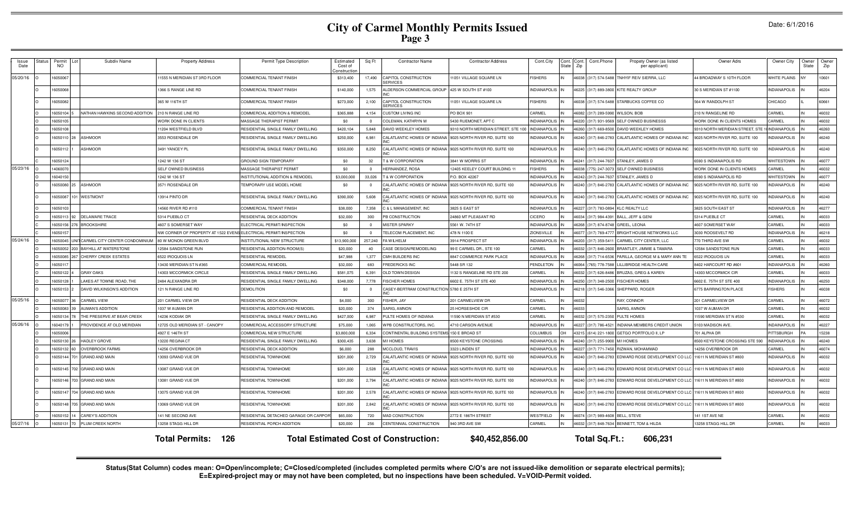| Date: 6/1/2016 |  |  |  |
|----------------|--|--|--|
|----------------|--|--|--|

| Issue<br>Date | tatus | Permi<br>NO. | Subdiv Name                         | <b>Property Address</b>                                          | Permit Type Description                | Estimated<br>Cost of<br>constructio | Sa Ft    | <b>Contractor Name</b>                       | <b>Contractor Address</b>       | Cont.City<br>State  | Cont.<br>Zip |                      | Cont.Phone           | Propety Owner (as listed<br>per applicant)          | Owner Adrs                      | Owner City          | <b>Dwner</b><br><b>State</b> | Owner<br>Zip |
|---------------|-------|--------------|-------------------------------------|------------------------------------------------------------------|----------------------------------------|-------------------------------------|----------|----------------------------------------------|---------------------------------|---------------------|--------------|----------------------|----------------------|-----------------------------------------------------|---------------------------------|---------------------|------------------------------|--------------|
| 05/20/16      |       | 605006       |                                     | 1555 N MERIDIAN ST 3RD FLOOR                                     | <b>COMMERCIAL TENANT FINISH</b>        | \$313,400                           | 17,490   | <b>CAPITOL CONSTRUCTION</b>                  | 1051 VILLAGE SQUARE LN          | <b>FISHERS</b>      | 46038        |                      | 317) 574-5488        | <b>INHYIF REIV SIERRA, LLC</b>                      | 44 BROADWAY S 10TH FLOOR        | <b>WHITE PLAINS</b> |                              | 10601        |
|               |       | 16050068     |                                     | 366 S RANGE LINE RD                                              | COMMERCIAL TENANT FINISH               | \$140,000                           | 1,575    | ALDERSON COMMERCIAL GROUP                    | 425 W SOUTH ST #100             | <b>INDIANAPOLIS</b> |              |                      |                      | 46225 (317) 889-3800 KITE REALTY GROUP              | 30 S MERIDIAN ST #1100          | <b>INDIANAPOLIS</b> |                              | 46204        |
|               |       | 6050082      |                                     | 365 W 116TH ST                                                   | COMMERCIAL TENANT FINISH               | \$273,000                           | 2,100    | CAPITOL CONSTRUCTION<br>SERVICES             | 1051 VILLAGE SQUARE LN          | <b>EISHERS</b>      |              |                      | 46038 (317) 574-5488 | STARBUCKS COFFEE CO                                 | 564 W RANDOLPH ST               | CHICAGO             |                              | 60661        |
|               |       | 16050104     | NATHAN HAWKINS SECOND ADDITION      | 210 N RANGE LINE RD                                              | COMMERCIAL ADDITION & REMODEL          | \$365,888                           | 4,154    | CUSTOM LIVING INC                            | PO BOX 901                      | CARMEL              |              |                      | 46082 (317) 289-5990 | <b>WILSON, BOB</b>                                  | 10 N RANGELINE RD               | CARMEL              |                              | 46032        |
|               |       | 1605010      |                                     | VORK DONE IN CLIENTS                                             | MASSAGE THERAPIST PERMIT               | \$0                                 | $\Omega$ | COLEMAN, KATHRYN M                           | 5430 RUEMONET, APT C            | <b>INDIANAPOLIS</b> |              |                      | 46220 (317) 931-9569 | SELF OWNED BUSINESSS                                | WORK DONE IN CLIENTS HOMES      | CARMEL              |                              | 46032        |
|               |       | 16050108     |                                     | 1204 WESTFIELD BLVD                                              | RESIDENTIAL SINGLE FAMILY DWELLING     | \$420,104                           | 5,848    | DAVID WEEKLEY HOMES                          | 9310 NORTH MERIDIAN STREET, STE | <b>INDIANAPOLIS</b> |              |                      | 46260 (317) 669-8500 | DAVID WEEKLEY HOMES                                 | 9310 NORTH MERIDIAN STREET, STE | <b>INDIANAPOLIS</b> |                              | 46260        |
|               |       | 16050110     | <b>ASHMOOR</b>                      | 3553 ROSENDALE DR                                                | RESIDENTIAL SINGLE FAMILY DWELLING     | \$250,000                           | 6,981    | CALATLANTIC HOMES OF INDIANA                 | 9025 NORTH RIVER RD, SUITE 100  | <b>INDIANAPOLIS</b> |              |                      | 46240 (317) 846-2783 | CALATLANTIC HOMES OF INDIANA INC                    | 9025 NORTH RIVER RD, SUITE 100  | <b>INDIANAPOLIS</b> |                              | 46240        |
|               |       | 6050112      | <b>ASHMOOR</b>                      | 491 YANCEY PL                                                    | RESIDENTIAL SINGLE FAMILY DWELLING     | \$350,000                           | 8,250    | CALATLANTIC HOMES OF INDIANA                 | 9025 NORTH RIVER RD, SUITE 100  | NDIANAPOLIS         |              |                      | 46240 (317) 846-2783 | CALATLANTIC HOMES OF INDIANA INC                    | 9025 NORTH RIVER RD, SUITE 100  | NDIANAPOLIS         |                              | 46240        |
|               |       | 1605012      |                                     | 1242 W 136 ST                                                    | GROUND SIGN TEMPORARY                  | \$0                                 | 32       | T & W CORPORATION                            | 3841 W MORRIS ST                | <b>INDIANAPOLIS</b> |              |                      | 46241 (317) 244-7637 | STANLEY, JAMES D                                    | 6590 S INDIANAPOLIS RD          | WHITESTOWN          |                              | 46077        |
| 05/23/16      |       | 1406007      |                                     | SELF OWNED BUSINESS                                              | MASSAGE THERAPIST PERMIT               | \$0                                 | $\Omega$ | <b>HERNANDEZ, ROSA</b>                       | 12405 KEELEY COURT BUILDING 11  | <b>ISHERS</b>       |              | 46038 (775) 247-307  |                      | SELF OWNED BUSINESS                                 | WORK DONE IN CLIENTS HOMES      | CARMEL              |                              | 46032        |
|               |       | 1604015      |                                     | 242 W 136 ST                                                     | INSTITUTIONAL ADDITION & REMODEL       | \$3,000,000                         | 33,026   | T & W CORPORATION                            | P.O. BOX 42267                  | <b>INDIANAPOLIS</b> |              | 46242- (317) 244-763 |                      | STANLEY, JAMES D                                    | 6590 S INDIANAPOLIS RD          | <b>WHITESTOWN</b>   |                              | 46077        |
|               |       | 6050080      | <b>ASHMOOR</b>                      | <b>3571 ROSENDALE DR</b>                                         | <b><i>FEMPORARY USE MODEL HOME</i></b> | \$0                                 |          | CALATLANTIC HOMES OF INDIANA                 | 9025 NORTH RIVER RD, SUITE 100  | <b>INDIANAPOLIS</b> | 46240        |                      | 317) 846-2783        | CALATLANTIC HOMES OF INDIANA INC                    | 9025 NORTH RIVER RD, SUITE 100  | <b>INDIANAPOLIS</b> |                              | 46240        |
|               |       | 6050087      | 01 WESTMONT                         | 3914 PINTO DR                                                    | RESIDENTIAL SINGLE FAMILY DWELLING     | \$390,000                           | 5,608    | CALATLANTIC HOMES OF INDIANA                 | 9025 NORTH RIVER RD, SUITE 100  | NDIANAPOLIS         |              |                      | 46240 (317) 846-2783 | CALATLANTIC HOMES OF INDIANA INC                    | 9025 NORTH RIVER RD, SUITE 100  | NDIANAPOLIS         |                              | 46240        |
|               |       | 16050103     |                                     | 4560 RIVER RD #110                                               | <b>COMMERCIAL TENANT FINISH</b>        | \$38,000                            | 7.358    | C & L MANAGEMENT, INC                        | 3825 S EAST ST                  | <b>INDIANAPOLIS</b> |              |                      | 46227 (317) 783-0894 | KLC REALTY LLC                                      | 3825 SOUTH EAST ST              | <b>INDIANAPOLIS</b> |                              | 46277        |
|               |       | 16050113     | <b>DELAWARE TRACE</b>               | 5314 PUEBLO CT                                                   | RESIDENTIAL DECK ADDITION              | \$32,000                            | 300      | PB CONSTRUCTION                              | 24860 MT PLEASANT RD            | CICERO              |              |                      | 46034 (317) 984-4391 | BALL, JEFF & GEN                                    | 5314 PUEBLE CT                  | CARMEL              |                              | 46033        |
|               |       | 6050156      | <b>BROOKSHIRE</b>                   | 607 S SOMERSET WAY                                               | FLECTRICAL PERMIT/INSPECTION           | \$0                                 | $\Omega$ | <b>MISTER SPARKY</b>                         | 5561 W. 74TH ST                 | <b>NDIANAPOLIS</b>  | 46268        |                      | 317) 874-874         | GREEL LEONA                                         | 1607 SOMERSET WAY               | CARMEL              |                              | 46033        |
|               |       | 1605015      |                                     | NW CORNER OF PROPERTY AT 1522 EVENS ELECTRICAL PERMIT/INSPECTION |                                        | \$0                                 | $\Omega$ | TELECOM PLACEMENT. INC                       | 478 N 1100 E                    | ZIONSVILLE          |              | 46077 (317) 769-47   |                      | <b>BRIGHT HOUSE NETWORKS LLC</b>                    | 3030 ROOSEVELT RD               | <b>INDIANAPOLIS</b> |                              | 46218        |
| 05/24/16      |       | 605004       | UNIT CARMEL CITY CENTER CONDOMINIUM | 0 W MONON GREEN BLVI                                             | <b>INSTITUTIONAL NEW STRUCTURE</b>     | \$13,900,000                        | 257,240  | FAWII HEI M                                  | 3914 PROSPECT ST                | INDIANAPOLIS        | 20264        |                      | (317) 359-541        | CARMEL CITY CENTER, LLC                             | 70 THIRD AVE SW                 | CARMEL              |                              | 46032        |
|               |       | 160500       | <b>203 BAYHILL AT WATERSTONE</b>    | 2584 SANDSTONE RUN                                               | RESIDENTIAL ADDITION-ROOM(S            | \$20,000                            | 40       | CASE DESIGN/REMODELING                       | 99 E CARMEL DR., STE 100        | CARMEL              |              | 46032 (317) 846-260  |                      | BRANTI FY. JIMMIF & TAMARA                          | 2584 SANDSTONE RUN              | CARMEL              |                              | 46033        |
|               |       | 1605008      | <b>CHERRY CREEK ESTATES</b>         | 6522 IROQUOIS LN                                                 | RESIDENTIAL REMODEI                    | \$47,988                            | 1,377    | CMH BUILDERS INC                             | 8847 COMMERCE PARK PLACE        | <b>INDIANAPOLI</b>  | 46268        |                      | 317) 714-653         | PARILLA, GEORGE M & MARY ANN TE                     | 6522 IROQUOIS LN                | CARMEL              |                              | 46033        |
|               |       | 1605011      |                                     | 3430 MERIDIAN ST N #365                                          | COMMERCIAL REMODEI                     | \$32,000                            | 683      | FREDERICKS INC                               | 5448 SR 132                     | <b>PENDLETON</b>    | 46064        |                      | (765) 778-75         | ILLIBRIDGE HEALTH CARE                              | 8402 HARCOURT RD #60            | <b>INDIANAPOLIS</b> |                              | 46260        |
|               |       | 6050122      | <b>GRAY OAKS</b>                    | 4303 MCCORMICK CIRCLE                                            | RESIDENTIAL SINGLE FAMILY DWELLING     | \$581,075                           | 6,391    | <b>OLD TOWN DESIGN</b>                       | 132 S RANGELINE RD STE 200      | <b>ARMEL</b>        | 46032        |                      | 317) 626-848         | <b>BRUZAS, GREG &amp; KAREN</b>                     | 4303 MCCORMICK CIF              | CARMEL              |                              | 46033        |
|               |       | 605012       | LAKES AT TOWNE ROAD. THE            | 484 ALEXANDRA DR                                                 | RESIDENTIAL SINGLE FAMILY DWELLING     | \$348,000                           | 7.778    | <b>ISCHER HOMES</b>                          | 602 E. 75TH ST STE 400          | NDIANAPOLI          | 46250        |                      | 317) 348-2500        | <b>FISCHER HOMES</b>                                | 602 E. 75TH ST STE 400          | <b>INDIANAPOLIS</b> |                              | 46250        |
|               |       | 6050153      | DAVID WILKINSON'S ADDITION          | 21 N RANGE LINE RD                                               | <b>DEMOLITION</b>                      | \$0                                 | $\Omega$ | CASEY-BERTRAM CONSTRUCTION 5780 E 25TH ST    |                                 | NDIANAPOLIS         |              |                      | 46218 (317) 546-3366 | SHEPPARD, ROGER                                     | <b>3775 BARRINGTON PLACE</b>    | <b>FISHERS</b>      |                              | 46038        |
| 05/25/16      |       | 16050077     | <b>CARMEL VIEW</b>                  | 201 CARMEL VIEW DR                                               | RESIDENTIAL DECK ADDITION              | \$4,000                             | 300      | FISHER, JAY                                  | 201 CARMELVIEW DR               | CARMEL              | 46032        |                      |                      | RAY, CONNOR                                         | 201 CARMELVIEW DR               | CARMEL              |                              | 46072        |
|               |       | 6050083      | AUMAN'S ADDITION                    | 037 W AUMAN DR                                                   | RESIDENTIAL ADDITION AND REMODEL       | \$20,000                            | 374      | SARIG, AMNON                                 | <b>25 HORSESHOE CIR</b>         | CARMEL              | 46033        |                      |                      | SARIG, AMNON                                        | 037 W AUMAN DR                  | CARMEL              |                              | 46032        |
|               |       | 1605013      | THE PRESERVE AT BEAR CREEK          | 4236 KODIAK DE                                                   | RESIDENTIAL SINGLE FAMILY DWELLING     | \$427,000                           | 6.987    | PULTE HOMES OF INDIANA                       | 1590 N MERIDIAN ST #530         | CARMEL              |              |                      | 46032 (317) 575-2350 | PULTE HOMES                                         | 1590 MERIDIAN ST N #530         | CARMEL              |                              | 46032        |
| 05/26/16      |       | 1604017      | PROVIDENCE AT OLD MERIDIAN          | 2725 OLD MERIDIAN ST - CANOPY                                    | COMMERCIAL ACCESSORY STRUCTURE         | \$75,000                            | 1.065    | WPB CONSTRUCTORS, INC.                       | 4710 CARSON AVENUE              | <b>INDIANAPOLIS</b> |              | 46227 (317) 786-452  |                      | <b>INDIANA MEMBERS CREDIT UNION</b>                 | 103 MADISON AVE                 | <b>INDAINAPOLIS</b> |                              | 46227        |
|               |       | 1605000      |                                     | 4927 E 146TH ST                                                  | COMMERCIAL NEW STRUCTURE               | \$3,800,000                         | 6,334    | CONTINENTAL BUILDING SYSTEM!                 | 150 E BROAD ST                  | <b>COLUMBUS</b>     |              |                      | 43215 (614) 221-1800 | GETGO PORTFOLIO II, LI                              | 701 ALPHA DR                    | PITTSBURGH          |                              | 15238        |
|               |       | 16050130     | <b>HADLEY GROVE</b>                 | 3220 REGINA CT                                                   | RESIDENTIAL SINGLE FAMILY DWELLING     | \$300,435                           | 3,638    | M/I HOMES                                    | 8500 KEYSTONE CROSSING          | <b>INDIANAPOLIS</b> |              |                      | 46240 (317) 255-9900 | M/I HOMES                                           | 8500 KEYSTONE CROSSING STE 590  | <b>INDIANAPOLIS</b> |                              | 46240        |
|               |       | 1605013      | <b>OVERBROOK FARMS</b>              | 4256 OVERBROOK DR                                                | RESIDENTIAL DECK ADDITION              | \$6,000                             | 288      | MCCLOUD, TRAVIS                              | 3323 LINDEN ST                  | <b>INDIANAPOLI</b>  |              | 46227 (317) 771-745  |                      | <b>RIZWAN, MOHAMMAD</b>                             | 4256 OVERBROOK DF               | CARMEL              |                              | 46074        |
|               |       | 6050144      | <b>GRAND AND MAIN</b>               | 3093 GRAND VUE DF                                                | <b>RESIDENTIAL TOWNHOME</b>            | \$201,000                           | 2,729    | CALATLANTIC HOMES OF INDIANA                 | 9025 NORTH RIVER RD. SUITE 10   | NDIANAPOLIS         | 46240        |                      | 317) 846-278         | <b>EDWARD ROSE DEVELOPMENT CO LL</b>                | 11611 N MERIDIAN ST #800        | <b>INDIANAPOLIS</b> |                              | 46032        |
|               |       | 16050145     | 702 GRAND AND MAIN                  | 3087 GRAND VUE DR                                                | RESIDENTIAL TOWNHOME                   | \$201,000                           | 2,528    | CALATLANTIC HOMES OF INDIANA                 | 9025 NORTH RIVER RD, SUITE 100  | <b>INDIANAPOLIS</b> |              |                      |                      | 46240 (317) 846-2783 EDWARD ROSE DEVELOPMENT CO LLC | 11611 N MERIDIAN ST #800        | <b>INDIANAPOLIS</b> |                              | 46032        |
|               |       | 6050146      | 703 GRAND AND MAIN                  | 3081 GRAND VUE DR                                                | RESIDENTIAL TOWNHOME                   | \$201,000                           | 2,794    | CALATLANTIC HOMES OF INDIANA                 | 025 NORTH RIVER RD, SUITE 100   | NDIANAPOLIS         |              |                      | 46240 (317) 846-2783 | EDWARD ROSE DEVELOPMENT COLL                        | 11611 N MERIDIAN ST #800        | <b>INDIANAPOLIS</b> |                              | 46032        |
|               |       | 16050147     | 704 GRAND AND MAIN                  | 3075 GRAND VUE DR                                                | <b>RESIDENTIAL TOWNHOME</b>            | \$201,000                           | 2,578    | CALATLANTIC HOMES OF INDIANA                 | 9025 NORTH RIVER RD. SUITE 100  | <b>INDIANAPOLIS</b> |              |                      | 46240 (317) 846-2783 | EDWARD ROSE DEVELOPMENT COLLO                       | 11611 N MERIDIAN ST #800        | <b>INDIANAPOLIS</b> |                              | 46032        |
|               |       | 16050148     | 705 GRAND AND MAIN                  | 3069 GRAND VUE DR                                                | <b>RESIDENTIAL TOWNHOME</b>            | \$201,000                           | 2,842    | CALATLANTIC HOMES OF INDIANA                 | 9025 NORTH RIVER RD. SUITE 100  | <b>INDIANAPOLIS</b> |              |                      | 46240 (317) 846-2783 | EDWARD ROSE DEVELOPMENT COLLO                       | 11611 N MERIDIAN ST #800        | <b>INDIANAPOLIS</b> |                              | 46032        |
|               |       | 16050152     | 14 CAREY'S ADDITION                 | 41 NE SECOND AVE                                                 | RESIDENTIAL DETACHED GARAGE OR CARPOR  | \$65,000                            | 720      | MAD CONSTRUCTION                             | 2772 E 186TH STREET             | WESTFIELD           |              |                      |                      | 46074 (317) 989-4608 BELL, STEVE                    | 141 1ST AVE NE                  | CARMEL              |                              | 46032        |
| 05/27/16      |       | 16050131     | PLUM CREEK NORTH                    | 3258 STAGG HILL DR                                               | RESIDENTIAL PORCH ADDITION             | \$20,000                            | 256      | CENTENNIAL CONSTRUCTION                      | 940 3RD AVE SW                  | CARMEL<br>IN        |              |                      |                      | 46032 (317) 848-7634 BENNETT, TOM & HILDA           | 13258 STAGG HILL DR             | CARMEL              |                              | 46033        |
|               |       |              |                                     | <b>Total Permits: 126</b>                                        |                                        |                                     |          | <b>Total Estimated Cost of Construction:</b> | \$40,452,856.00                 |                     |              |                      | Total Sq.Ft.:        | 606,231                                             |                                 |                     |                              |              |